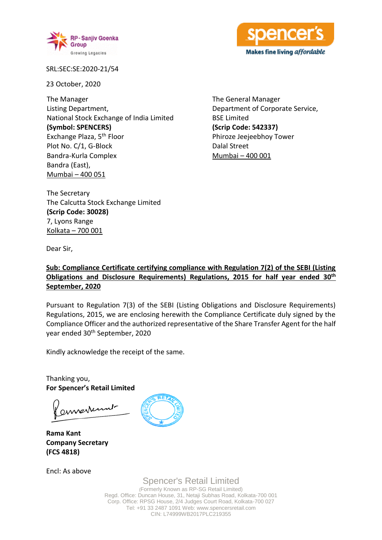



SRL:SEC:SE:2020-21/54

23 October, 2020

The Manager Listing Department, National Stock Exchange of India Limited **(Symbol: SPENCERS)** Exchange Plaza, 5th Floor Plot No. C/1, G-Block Bandra-Kurla Complex Bandra (East), Mumbai – 400 051

The General Manager Department of Corporate Service, BSE Limited **(Scrip Code: 542337)** Phiroze Jeejeebhoy Tower Dalal Street Mumbai – 400 001

The Secretary The Calcutta Stock Exchange Limited **(Scrip Code: 30028)** 7, Lyons Range Kolkata – 700 001

Dear Sir,

## **Sub: Compliance Certificate certifying compliance with Regulation 7(2) of the SEBI (Listing Obligations and Disclosure Requirements) Regulations, 2015 for half year ended 30th September, 2020**

Pursuant to Regulation 7(3) of the SEBI (Listing Obligations and Disclosure Requirements) Regulations, 2015, we are enclosing herewith the Compliance Certificate duly signed by the Compliance Officer and the authorized representative of the Share Transfer Agent for the half year ended 30<sup>th</sup> September, 2020

Kindly acknowledge the receipt of the same.

Thanking you, **For Spencer's Retail Limited**

ernerrunt

**Rama Kant Company Secretary (FCS 4818)**

Encl: As above

Spencer's Retail Limited

(Formerly Known as RP-SG Retail Limited) Regd. Office: Duncan House, 31, Netaji Subhas Road, Kolkata-700 001 Corp. Office: RPSG House, 2/4 Judges Court Road, Kolkata-700 027 Tel: +91 33 2487 1091 Web: www.spencersretail.com CIN: L74999WB2017PLC219355